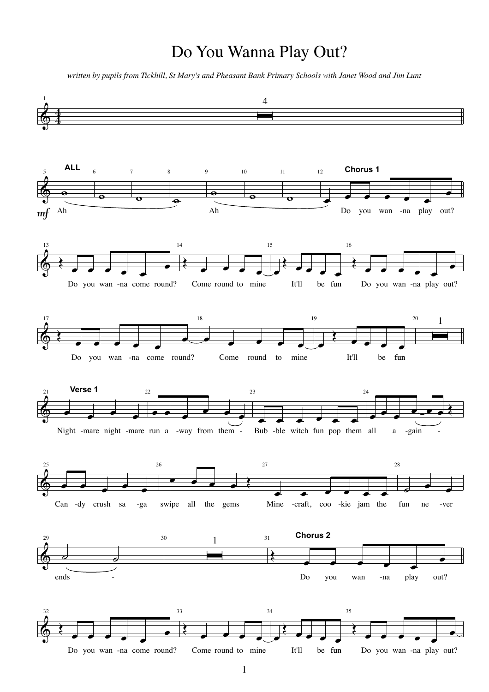## Do You Wanna Play Out?

*written by pupils from Tickhill, St Mary's and Pheasant Bank Primary Schools with Janet Wood and Jim Lunt*

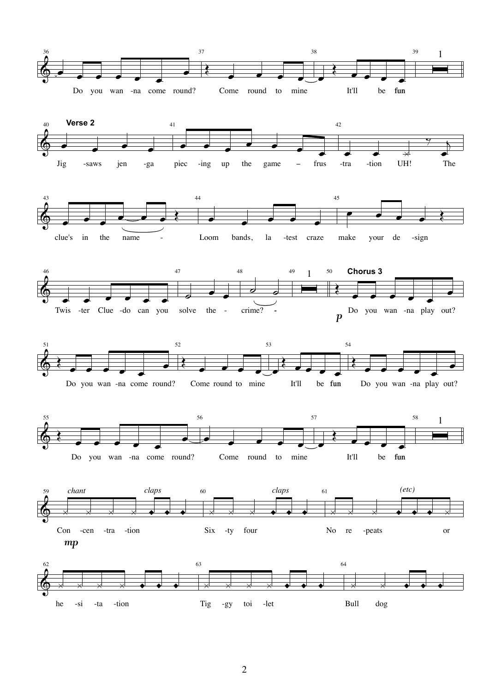













he

 $-si$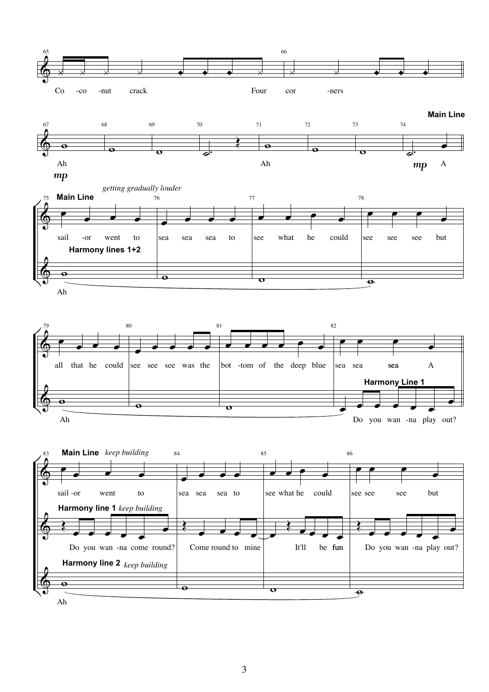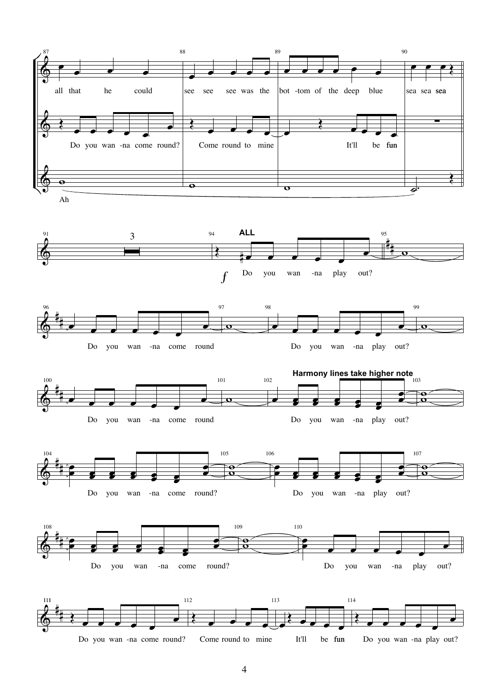

Do you wan -na come round? Come round to mine be fun

Do you wan -na play

out?